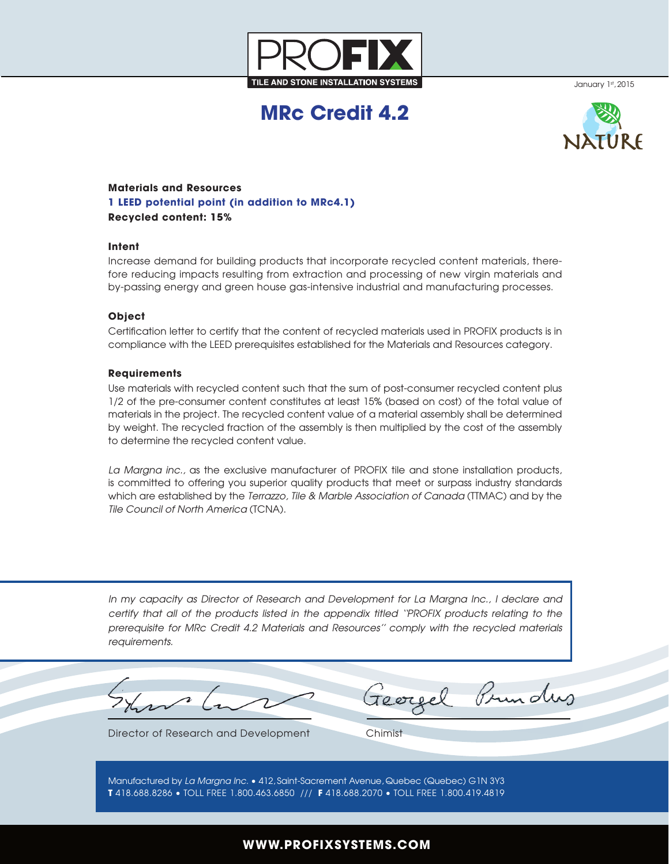

January 1st, 2015

# **MRc Credit 4.2**



## **Materials and Resources 1 LEED potential point (in addition to MRc4.1) Recycled content: 15%**

### **Intent**

Increase demand for building products that incorporate recycled content materials, therefore reducing impacts resulting from extraction and processing of new virgin materials and by-passing energy and green house gas-intensive industrial and manufacturing processes.

#### **Object**

Certification letter to certify that the content of recycled materials used in PROFIX products is in compliance with the LEED prerequisites established for the Materials and Resources category.

#### **Requirements**

Use materials with recycled content such that the sum of post-consumer recycled content plus 1/2 of the pre-consumer content constitutes at least 15% (based on cost) of the total value of materials in the project. The recycled content value of a material assembly shall be determined by weight. The recycled fraction of the assembly is then multiplied by the cost of the assembly to determine the recycled content value.

*La Margna inc.,* as the exclusive manufacturer of PROFIX tile and stone installation products, is committed to offering you superior quality products that meet or surpass industry standards which are established by the *Terrazzo, Tile & Marble Association of Canada* (TTMAC) and by the *Tile Council of North America* (TCNA).

*In my capacity as Director of Research and Development for La Margna Inc., I declare and certify that all of the products listed in the appendix titled ''PROFIX products relating to the prerequisite for MRc Credit 4.2 Materials and Resources'' comply with the recycled materials requirements.*

Prunders

Director of Research and Development Chimist

Manufactured by *La Margna Inc.* • 412, Saint-Sacrement Avenue, Quebec (Quebec) G1N 3Y3 **T** 418.688.8286 • TOLL FREE 1.800.463.6850 /// **F** 418.688.2070 • TOLL FREE 1.800.419.4819

## **WWW.PROFIXSYSTEMS.COM**